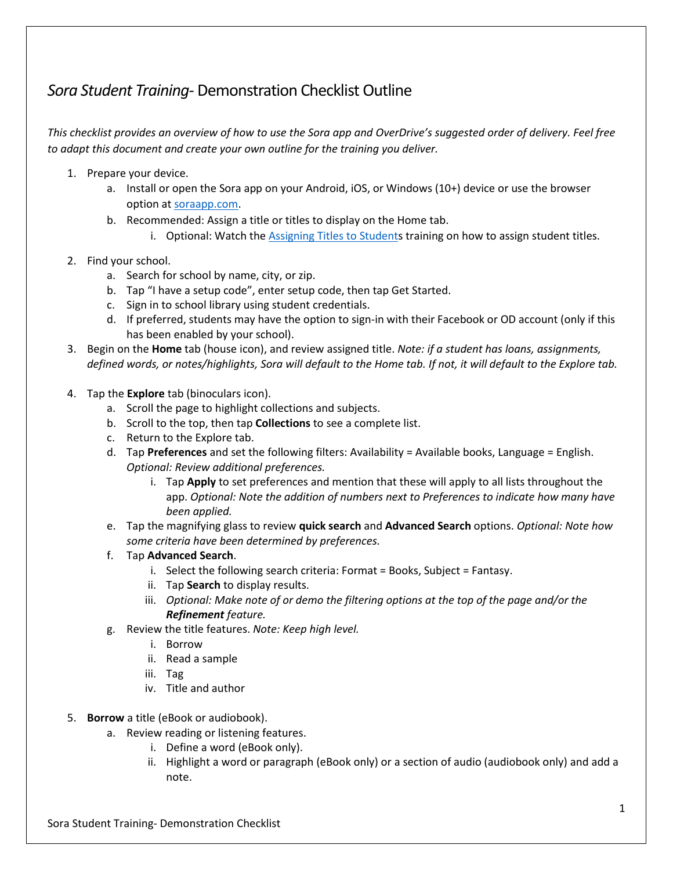## *Sora Student Training*- Demonstration Checklist Outline

*This checklist provides an overview of how to use the Sora app and OverDrive's suggested order of delivery. Feel free to adapt this document and create your own outline for the training you deliver.* 

- 1. Prepare your device.
	- a. Install or open the Sora app on your Android, iOS, or Windows (10+) device or use the browser option a[t soraapp.com.](https://soraapp.com/)
	- b. Recommended: Assign a title or titles to display on the Home tab.
		- i. Optional: Watch th[e Assigning Titles to Students](https://resources.overdrive.com/k-12-schools/staff-training-marketplace/) training on how to assign student titles.
- 2. Find your school.
	- a. Search for school by name, city, or zip.
	- b. Tap "I have a setup code", enter setup code, then tap Get Started.
	- c. Sign in to school library using student credentials.
	- d. If preferred, students may have the option to sign-in with their Facebook or OD account (only if this has been enabled by your school).
- 3. Begin on the **Home** tab (house icon), and review assigned title. *Note: if a student has loans, assignments, defined words, or notes/highlights, Sora will default to the Home tab. If not, it will default to the Explore tab.*
- 4. Tap the **Explore** tab (binoculars icon).
	- a. Scroll the page to highlight collections and subjects.
	- b. Scroll to the top, then tap **Collections** to see a complete list.
	- c. Return to the Explore tab.
	- d. Tap **Preferences** and set the following filters: Availability = Available books, Language = English. *Optional: Review additional preferences.*
		- i. Tap **Apply** to set preferences and mention that these will apply to all lists throughout the app. *Optional: Note the addition of numbers next to Preferences to indicate how many have been applied.*
	- e. Tap the magnifying glass to review **quick search** and **Advanced Search** options. *Optional: Note how some criteria have been determined by preferences.*
	- f. Tap **Advanced Search**.
		- i. Select the following search criteria: Format = Books, Subject = Fantasy.
		- ii. Tap **Search** to display results.
		- iii. *Optional: Make note of or demo the filtering options at the top of the page and/or the Refinement feature.*
	- g. Review the title features. *Note: Keep high level.*
		- i. Borrow
		- ii. Read a sample
		- iii. Tag
		- iv. Title and author
- 5. **Borrow** a title (eBook or audiobook).
	- a. Review reading or listening features.
		- i. Define a word (eBook only).
		- ii. Highlight a word or paragraph (eBook only) or a section of audio (audiobook only) and add a note.